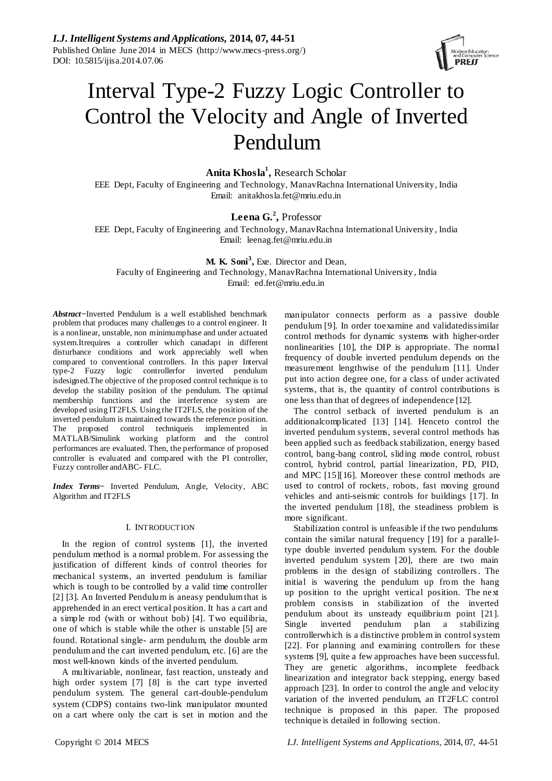*I.J. Intelligent Systems and Applications,* **2014, 07, 44-51** Published Online June 2014 in MECS (http://www.mecs-press.org/) DOI: 10.5815/ijisa.2014.07.06



# Interval Type-2 Fuzzy Logic Controller to Control the Velocity and Angle of Inverted Pendulum

# **Anita Khosla<sup>1</sup> ,** Research Scholar

EEE Dept, Faculty of Engineering and Technology, ManavRachna International University, India Email: anitakhosla.fet@mriu.edu.in

# **Leena G.<sup>2</sup> ,** Professor

EEE Dept, Faculty of Engineering and Technology, ManavRachna International University , India Email: leenag.fet@mriu.edu.in

**M. K. Soni<sup>3</sup> ,** Exe. Director and Dean, Faculty of Engineering and Technology, ManavRachna International University , India Email: ed.fet@mriu.edu.in

*Abstract−*Inverted Pendulum is a well established benchmark problem that produces many challenges to a control engineer. It is a nonlinear, unstable, non minimumphase and under actuated system.Itrequires a controller which canadapt in different disturbance conditions and work appreciably well when compared to conventional controllers. In this paper Interval type-2 Fuzzy logic controllerfor inverted pendulum isdesigned.The objective of the proposed control technique is to develop the stability position of the pendulum. The optimal membership functions and the interference system are developed using IT2FLS. Using the IT2FLS, the position of the inverted pendulum is maintained towards the reference position. The proposed control techniqueis implemented in MATLAB/Simulink working platform and the control performances are evaluated. Then, the performance of proposed controller is evaluated and compared with the PI controller, Fuzzy controller andABC- FLC.

*Index Terms−* Inverted Pendulum, Angle, Velocity, ABC Algorithm and IT2FLS

### I. INTRODUCTION

In the region of control systems [1], the inverted pendulum method is a normal problem. For assessing the justification of different kinds of control theories for mechanical systems, an inverted pendulum is familiar which is tough to be controlled by a valid time controller [2] [3]. An Inverted Pendulum is aneasy pendulum that is apprehended in an erect vertical position. It has a cart and a simple rod (with or without bob) [4]. Two equilibria, one of which is stable while the other is unstable [5] are found. Rotational single- arm pendulum, the double arm pendulum and the cart inverted pendulum, etc. [6] are the most well-known kinds of the inverted pendulum.

A multivariable, nonlinear, fast reaction, unsteady and high order system [7] [8] is the cart type inverted pendulum system. The general cart-double-pendulum system (CDPS) contains two-link manipulator mounted on a cart where only the cart is set in motion and the

manipulator connects perform as a passive double pendulum [9]. In order toexamine and validatedissimilar control methods for dynamic systems with higher-order nonlinearities [10], the DIP is appropriate. The normal frequency of double inverted pendulum depends on the measurement lengthwise of the pendulum [11]. Under put into action degree one, for a class of under activated systems, that is, the quantity of control contributions is one less than that of degrees of independence [12].

The control setback of inverted pendulum is an additionalcomplicated [13] [14]. Henceto control the inverted pendulum systems, several control methods has been applied such as feedback stabilization, energy based control, bang-bang control, sliding mode control, robust control, hybrid control, partial linearization, PD, PID, and MPC [15][16]. Moreover these control methods are used to control of rockets, robots, fast moving ground vehicles and anti-seismic controls for buildings [17]. In the inverted pendulum [18], the steadiness problem is more significant.

Stabilization control is unfeasible if the two pendulums contain the similar natural frequency [19] for a paralleltype double inverted pendulum system. For the double inverted pendulum system [20], there are two main problems in the design of stabilizing controllers. The initial is wavering the pendulum up from the hang up position to the upright vertical position. The next problem consists in stabilization of the inverted pendulum about its unsteady equilibrium point [21]. Single inverted pendulum plan a stabilizing controllerwhich is a distinctive problem in control system [22]. For planning and examining controllers for these systems [9], quite a few approaches have been successful. They are genetic algorithms, incomplete feedback linearization and integrator back stepping, energy based approach [23]. In order to control the angle and velocity variation of the inverted pendulum, an IT2FLC control technique is proposed in this paper. The proposed technique is detailed in following section.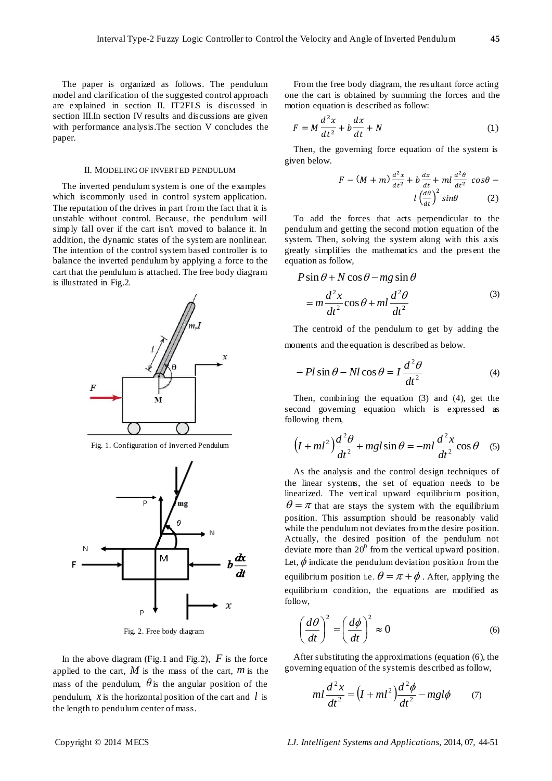The paper is organized as follows. The pendulum model and clarification of the suggested control approach are explained in section II. IT2FLS is discussed in section III.In section IV results and discussions are given with performance analysis.The section V concludes the paper.

# II. MODELING OF INVERTED PENDULUM

The inverted pendulum system is one of the examples which iscommonly used in control system application. The reputation of the drives in part from the fact that it is unstable without control. Because, the pendulum will simply fall over if the cart isn't moved to balance it. In addition, the dynamic states of the system are nonlinear. The intention of the control system based controller is to balance the inverted pendulum by applying a force to the cart that the pendulum is attached. The free body diagram is illustrated in Fig.2.



Fig. 1. Configuration of Inverted Pendulum



Fig. 2. Free body diagram

In the above diagram (Fig.1 and Fig.2),  $F$  is the force applied to the cart,  $M$  is the mass of the cart,  $m$  is the mass of the pendulum,  $\theta$  is the angular position of the pendulum,  $\bar{x}$  is the horizontal position of the cart and  $\bar{l}$  is the length to pendulum center of mass.

From the free body diagram, the resultant force acting one the cart is obtained by summing the forces and the motion equation is described as follow:

$$
F = M\frac{d^2x}{dt^2} + b\frac{dx}{dt} + N\tag{1}
$$

Then, the governing force equation of the system is given below.

$$
F - (M + m)\frac{d^2x}{dt^2} + b\frac{dx}{dt} + ml\frac{d^2\theta}{dt^2} \cos\theta - l\left(\frac{d\theta}{dt}\right)^2 \sin\theta \qquad (2)
$$

To add the forces that acts perpendicular to the pendulum and getting the second motion equation of the system. Then, solving the system along with this axis greatly simplifies the mathematics and the pres ent the equation as follow,

$$
P\sin\theta + N\cos\theta - mg\sin\theta
$$
  
=  $m\frac{d^2x}{dt^2}\cos\theta + ml\frac{d^2\theta}{dt^2}$  (3)

The centroid of the pendulum to get by adding the moments and the equation is described as below.

$$
-Pl\sin\theta - NI\cos\theta = I\frac{d^2\theta}{dt^2}
$$
 (4)

Then, combining the equation (3) and (4), get the second governing equation which is expressed as following them,

$$
(I+ml^2)\frac{d^2\theta}{dt^2}+mgl\sin\theta=-ml\frac{d^2x}{dt^2}\cos\theta
$$
 (5)

As the analysis and the control design techniques of the linear systems, the set of equation needs to be linearized. The vertical upward equilibrium position,  $\theta = \pi$  that are stays the system with the equilibrium position. This assumption should be reasonably valid while the pendulum not deviates from the desire position. Actually, the desired position of the pendulum not deviate more than  $20^0$  from the vertical upward position. Let,  $\phi$  indicate the pendulum deviation position from the equilibrium position i.e.  $\theta = \pi + \phi$ . After, applying the equilibrium condition, the equations are modified as follow,

$$
\left(\frac{d\theta}{dt}\right)^2 = \left(\frac{d\phi}{dt}\right)^2 \approx 0\tag{6}
$$

After substituting the approximations (equation (6), the governing equation of the system is described as follow,

$$
ml\frac{d^2x}{dt^2} = \left(I + ml^2\right)\frac{d^2\phi}{dt^2} - mgl\phi \tag{7}
$$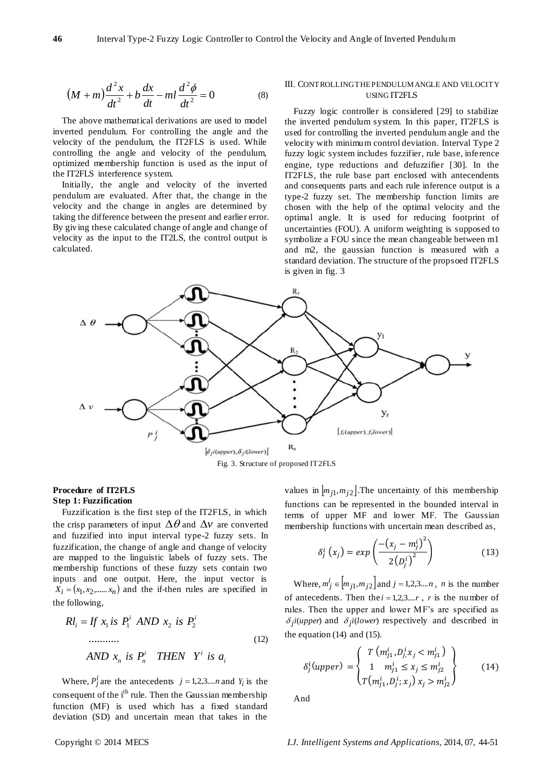$$
\left(M+m\right)\frac{d^2x}{dt^2} + b\frac{dx}{dt} - ml\frac{d^2\phi}{dt^2} = 0\tag{8}
$$

The above mathematical derivations are used to model inverted pendulum. For controlling the angle and the velocity of the pendulum, the IT2FLS is used. While controlling the angle and velocity of the pendulum, optimized membership function is used as the input of the IT2FLS interference system.

Initially, the angle and velocity of the inverted pendulum are evaluated. After that, the change in the velocity and the change in angles are determined by taking the difference between the present and earlier error. By giving these calculated change of angle and change of velocity as the input to the IT2LS, the control output is calculated.

# III. CONTROLLING THE PENDULUM ANGLE AND VELOCITY USING IT2FLS

Fuzzy logic controller is considered [29] to stabilize the inverted pendulum system. In this paper, IT2FLS is used for controlling the inverted pendulum angle and the velocity with minimum control deviation. Interval Type 2 fuzzy logic system includes fuzzifier, rule base, inference engine, type reductions and defuzzifier [30]. In the IT2FLS, the rule base part enclosed with antecendents and consequents parts and each rule inference output is a type-2 fuzzy set. The membership function limits are chosen with the help of the optimal velocity and the optimal angle. It is used for reducing footprint of uncertainties (FOU). A uniform weighting is supposed to symbolize a FOU since the mean changeable between m1 and m2, the gaussian function is measured with a standard deviation. The structure of the propsoed IT2FLS is given in fig. 3



# Fig. 3. Structure of proposed IT2FLS

# **Procedure of IT2FLS Step 1: Fuzzification**

Fuzzification is the first step of the IT2FLS, in which the crisp parameters of input  $\Delta\theta$  and  $\Delta v$  are converted and fuzzified into input interval type-2 fuzzy sets. In fuzzification, the change of angle and change of velocity are mapped to the linguistic labels of fuzzy sets. The membership functions of these fuzzy sets contain two inputs and one output. Here, the input vector is  $X_i = (x_1, x_2, \dots, x_n)$  and the if-then rules are specified in the following,

From the following:

\n
$$
Rl_{i} = If \ x_{1} \text{ is } P_{1}^{i} \quad AND \ x_{2} \text{ is } P_{2}^{i}
$$
\n...

\nAND  $x_{n}$  is  $P_{n}^{i} \quad THEN \ Y^{i} \text{ is } a_{i}$ 

\n(12)

Where,  $P_j^i$  are the antecedents  $j = 1,2,3,...n$  and  $Y_i$  is the consequent of the  $i<sup>th</sup>$  rule. Then the Gaussian membership function (MF) is used which has a fixed standard deviation (SD) and uncertain mean that takes in the

values in  $\left[m_{j1}, m_{j2}\right]$ . The uncertainty of this membership functions can be represented in the bounded interval in terms of upper MF and lower MF. The Gaussian membership functions with uncertain mean described as,

$$
\delta_j^i\left(x_j\right) = \exp\left(\frac{-\left(x_j - m_j^i\right)^2}{2\left(p_j^i\right)^2}\right) \tag{13}
$$

Where,  $m_j^i \in [m_{j1}, m_{j2}]$  and  $j = 1, 2, 3...$ *n*, *n* is the number of antecedents. Then the  $i = 1,2,3,...r$ , *r* is the number of rules. Then the upper and lower MF's are specified as  $\delta_j$ *i*(*upper*) and  $\delta_j$ *i*(*lower*) respectively and described in the equation (14) and (15).

$$
\delta_j^i(upper) = \begin{cases} T(m_{j_1}^i, D_{j,1}^i, m_{j_1}^i) \\ 1 & m_{j_1}^i \le x_j \le m_{j_2}^i \\ T(m_{j_1}^i, D_j^i; x_j) & x_j > m_{j_2}^i \end{cases}
$$
 (14)

And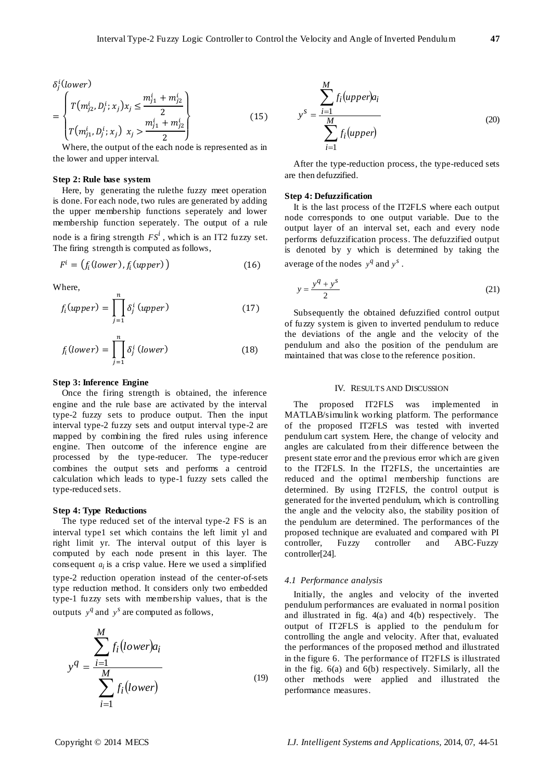$$
\delta_j^i(\text{lower})
$$

$$
= \begin{cases} T(m_{j2}^i, D_j^i; x_j) x_j \leq \frac{m_{j1}^i + m_{j2}^i}{2} \\ T(m_{j1}^i, D_j^i; x_j) x_j > \frac{m_{j1}^i + m_{j2}^i}{2} \end{cases}
$$
(15)

Where, the output of the each node is represented as in the lower and upper interval.

# **Step 2: Rule base system**

Here, by generating the rulethe fuzzy meet operation is done. For each node, two rules are generated by adding the upper membership functions seperately and lower membership function seperately. The output of a rule node is a firing strength  $FS^i$ , which is an IT2 fuzzy set. The firing strength is computed as follows,

$$
F^i = (f_i(lower), f_i(upper))
$$
 (16)

Where,

$$
f_i(\text{upper}) = \prod_{j=1}^n \delta_j^i(\text{upper}) \tag{17}
$$

$$
f_i(lower) = \prod_{j=1}^{n} \delta_j^i (lower)
$$
 (18)

# **Step 3: Inference Engine**

Once the firing strength is obtained, the inference engine and the rule base are activated by the interval type-2 fuzzy sets to produce output. Then the input interval type-2 fuzzy sets and output interval type-2 are mapped by combining the fired rules using inference engine. Then outcome of the inference engine are processed by the type-reducer. The type-reducer combines the output sets and performs a centroid calculation which leads to type-1 fuzzy sets called the type-reduced sets.

# **Step 4: Type Reductions**

The type reduced set of the interval type-2 FS is an interval type1 set which contains the left limit yl and right limit yr. The interval output of this layer is computed by each node present in this layer. The consequent  $a_i$  is a crisp value. Here we used a simplified type-2 reduction operation instead of the center-of-sets type reduction method. It considers only two embedded type-1 fuzzy sets with membership values, that is the outputs  $y^q$  and  $y^s$  are computed as follows,

$$
y^{q} = \frac{\sum_{i=1}^{M} f_{i}(lower)a_{i}}{\sum_{i=1}^{M} f_{i}(lower)}
$$
\n(19)

$$
y^{S} = \frac{\sum_{i=1}^{M} f_{i}(upper)a_{i}}{\sum_{i=1}^{M} f_{i}(upper)}
$$
\n(20)

After the type-reduction process, the type-reduced sets are then defuzzified.

### **Step 4: Defuzzification**

It is the last process of the IT2FLS where each output node corresponds to one output variable. Due to the output layer of an interval set, each and every node performs defuzzification process. The defuzzified output is denoted by y which is determined by taking the average of the nodes  $y^q$  and  $y^s$ .

$$
y = \frac{y^q + y^s}{2} \tag{21}
$$

Subsequently the obtained defuzzified control output of fuzzy system is given to inverted pendulum to reduce the deviations of the angle and the velocity of the pendulum and also the position of the pendulum are maintained that was close to the reference position.

# IV. RESULTS AND DISCUSSION

The proposed IT2FLS was implemented in MATLAB/simulink working platform. The performance of the proposed IT2FLS was tested with inverted pendulum cart system. Here, the change of velocity and angles are calculated from their difference between the present state error and the previous error which are given to the IT2FLS. In the IT2FLS, the uncertainties are reduced and the optimal membership functions are determined. By using IT2FLS, the control output is generated for the inverted pendulum, which is controlling the angle and the velocity also, the stability position of the pendulum are determined. The performances of the proposed technique are evaluated and compared with PI controller, Fuzzy controller and ABC-Fuzzy controller[24].

### *4.1 Performance analysis*

Initially, the angles and velocity of the inverted pendulum performances are evaluated in normal position and illustrated in fig. 4(a) and 4(b) respectively. The output of IT2FLS is applied to the pendulum for controlling the angle and velocity. After that, evaluated the performances of the proposed method and illustrated in the figure 6. The performance of IT2FLS is illustrated in the fig. 6(a) and 6(b) respectively. Similarly, all the other methods were applied and illustrated the performance measures.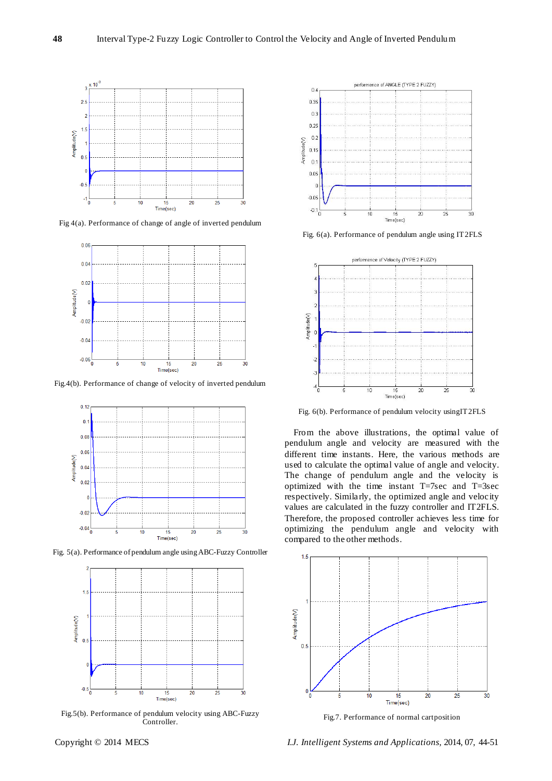

Fig 4(a). Performance of change of angle of inverted pendulum



Fig.4(b). Performance of change of velocity of inverted pendulum



Fig. 5(a). Performance of pendulum angle using ABC-Fuzzy Controller



Fig.5(b). Performance of pendulum velocity using ABC-Fuzzy Controller.



Fig. 6(a). Performance of pendulum angle using IT2FLS



Fig. 6(b). Performance of pendulum velocity usingIT2FLS

From the above illustrations, the optimal value of pendulum angle and velocity are measured with the different time instants. Here, the various methods are used to calculate the optimal value of angle and velocity. The change of pendulum angle and the velocity is optimized with the time instant T=7sec and T=3sec respectively. Similarly, the optimized angle and velocity values are calculated in the fuzzy controller and IT2FLS. Therefore, the proposed controller achieves less time for optimizing the pendulum angle and velocity with compared to the other methods.



Fig.7. Performance of normal cartposition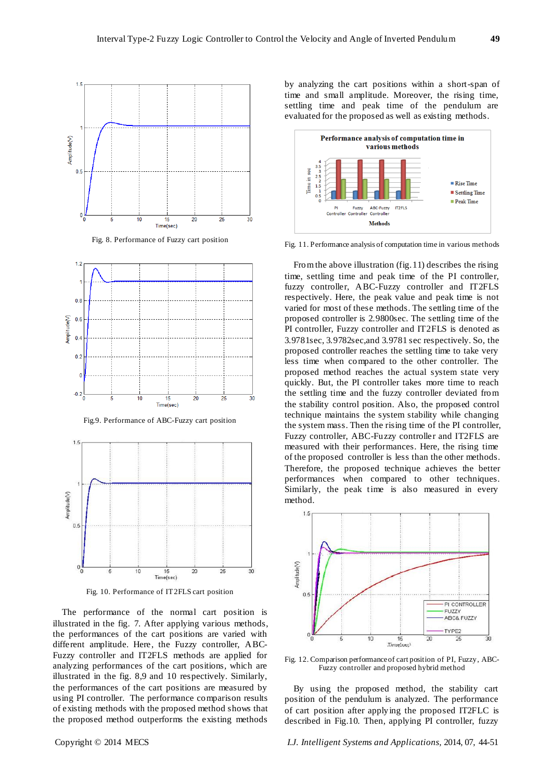

Fig. 8. Performance of Fuzzy cart position



Fig.9. Performance of ABC-Fuzzy cart position



Fig. 10. Performance of IT2FLS cart position

The performance of the normal cart position is illustrated in the fig. 7. After applying various methods, the performances of the cart positions are varied with different amplitude. Here, the Fuzzy controller, ABC-Fuzzy controller and IT2FLS methods are applied for analyzing performances of the cart positions, which are illustrated in the fig. 8,9 and 10 respectively. Similarly, the performances of the cart positions are measured by using PI controller. The performance comparison results of existing methods with the proposed method shows that the proposed method outperforms the existing methods

by analyzing the cart positions within a short-span of time and small amplitude. Moreover, the rising time, settling time and peak time of the pendulum are evaluated for the proposed as well as existing methods.



Fig. 11. Performance analysis of computation time in various methods

From the above illustration (fig.11) describes the rising time, settling time and peak time of the PI controller, fuzzy controller, ABC-Fuzzy controller and IT2FLS respectively. Here, the peak value and peak time is not varied for most of these methods. The settling time of the proposed controller is 2.9800sec. The settling time of the PI controller, Fuzzy controller and IT2FLS is denoted as 3.9781sec, 3.9782sec,and 3.9781 sec respectively. So, the proposed controller reaches the settling time to take very less time when compared to the other controller. The proposed method reaches the actual system state very quickly. But, the PI controller takes more time to reach the settling time and the fuzzy controller deviated from the stability control position. Also, the proposed control technique maintains the system stability while changing the system mass. Then the rising time of the PI controller, Fuzzy controller, ABC-Fuzzy controller and IT2FLS are measured with their performances. Here, the rising time of the proposed controller is less than the other methods. Therefore, the proposed technique achieves the better performances when compared to other techniques. Similarly, the peak time is also measured in every method.



Fig. 12. Comparison performance of cart position of PI, Fuzzy, ABC-Fuzzy controller and proposed hybrid method

By using the proposed method, the stability cart position of the pendulum is analyzed. The performance of cart position after applying the proposed IT2FLC is described in Fig.10. Then, applying PI controller, fuzzy

Copyright © 2014 MECS *I.J. Intelligent Systems and Applications,* 2014, 07, 44-51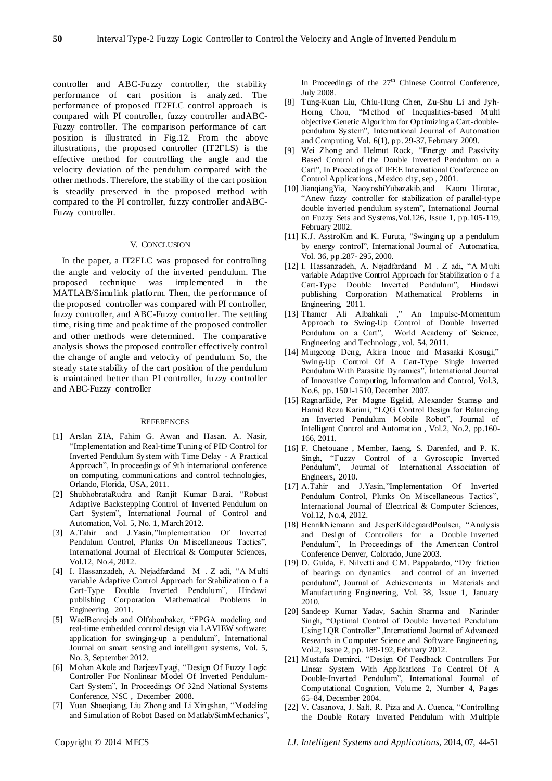controller and ABC-Fuzzy controller, the stability performance of cart position is analyzed. The performance of proposed IT2FLC control approach is compared with PI controller, fuzzy controller andABC-Fuzzy controller. The comparison performance of cart position is illustrated in Fig.12. From the above illustrations, the proposed controller (IT2FLS) is the effective method for controlling the angle and the velocity deviation of the pendulum compared with the other methods. Therefore, the stability of the cart position is steadily preserved in the proposed method with compared to the PI controller, fuzzy controller andABC-Fuzzy controller.

#### V. CONCLUSION

In the paper, a IT2FLC was proposed for controlling the angle and velocity of the inverted pendulum. The proposed technique was implemented in the MATLAB/Simulink platform. Then, the performance of the proposed controller was compared with PI controller, fuzzy controller, and ABC-Fuzzy controller. The settling time, rising time and peak time of the proposed controller and other methods were determined. The comparative analysis shows the proposed controller effectively control the change of angle and velocity of pendulum. So, the steady state stability of the cart position of the pendulum is maintained better than PI controller, fuzzy controller and ABC-Fuzzy controller

#### **REFERENCES**

- [1] Arslan ZIA, Fahim G. Awan and Hasan. A. Nasir, "Implementation and Real-time Tuning of PID Control for Inverted Pendulum System with Time Delay - A Practical Approach", In proceedings of 9th international conference on computing, communications and control technologies, Orlando, Florida, USA, 2011.
- [2] ShubhobrataRudra and Ranjit Kumar Barai, "Robust Adaptive Backstepping Control of Inverted Pendulum on Cart System", International Journal of Control and Automation, Vol. 5, No. 1, March 2012.
- [3] A.Tahir and J.Yasin,"Implementation Of Inverted Pendulum Control, Plunks On Miscellaneous Tactics", International Journal of Electrical & Computer Sciences, Vol.12, No.4, 2012.
- [4] I. Hassanzadeh, A. Nejadfardand M . Z adi, "A Multi variable Adaptive Control Approach for Stabilization o f a Cart-Type Double Inverted Pendulum", Hindawi publishing Corporation Mathematical Problems in Engineering, 2011.
- [5] WaelBenrejeb and Olfaboubaker, "FPGA modeling and real-time embedded control design via LAVIEW software: application for swinging-up a pendulum", International Journal on smart sensing and intelligent systems, Vol. 5, No. 3, September 2012.
- [6] Mohan Akole and BarjeevTyagi, "Design Of Fuzzy Logic Controller For Nonlinear Model Of Inverted Pendulum-Cart System", In Proceedings Of 32nd National Systems Conference, NSC , December 2008.
- [7] Yuan Shaoqiang, Liu Zhong and Li Xingshan, "Modeling and Simulation of Robot Based on Matlab/SimMechanics",

In Proceedings of the  $27<sup>th</sup>$  Chinese Control Conference, July 2008.

- [8] Tung-Kuan Liu, Chiu-Hung Chen, Zu-Shu Li and Jyh-Horng Chou, "Method of Inequalities-based Multi objective Genetic Algorithm for Optimizing a Cart-doublependulum System", International Journal of Automation and Computing, Vol. 6(1), pp. 29-37, February 2009.
- [9] Wei Zhong and Helmut Rock, "Energy and Passivity Based Control of the Double Inverted Pendulum on a Cart", In Proceedings of IEEE International Conference on Control Applications , Mexico city, sep , 2001.
- [10] JianqiangYia, NaoyoshiYubazakib,and Kaoru Hirotac, "Anew fuzzy controller for stabilization of parallel-type double inverted pendulum system", International Journal on Fuzzy Sets and Systems,Vol.126, Issue 1, pp.105-119, February 2002.
- [11] K.J. AsstroKm and K. Furuta, "Swinging up a pendulum by energy control", International Journal of Automatica, Vol. 36, pp.287- 295, 2000.
- [12] I. Hassanzadeh, A. Nejadfardand M . Z adi, "A Multi variable Adaptive Control Approach for Stabilization o f a Cart-Type Double Inverted Pendulum", Hindawi publishing Corporation Mathematical Problems in Engineering, 2011.
- [13] Thamer Ali Albahkali ," An Impulse-Momentum Approach to Swing-Up Control of Double Inverted Pendulum on a Cart", World Academy of Science, Engineering and Technology, vol. 54, 2011.
- [14] Mingcong Deng, Akira Inoue and Masaaki Kosugi," Swing-Up Control Of A Cart-Type Single Inverted Pendulum With Parasitic Dynamics", International Journal of Innovative Computing, Information and Control, Vol.3, No.6, pp. 1501-1510, December 2007.
- [15] RagnarEide, Per Magne Egelid, Alexander Stamsø and Hamid Reza Karimi, "LQG Control Design for Balancing an Inverted Pendulum Mobile Robot", Journal of Intelligent Control and Automation , Vol.2, No.2, pp.160- 166, 2011.
- [16] F. Chetouane , Member, Iaeng, S. Darenfed, and P. K. Singh, "Fuzzy Control of a Gyroscopic Inverted Pendulum", Journal of International Association of Engineers, 2010.
- [17] A.Tahir and J.Yasin,"Implementation Of Inverted Pendulum Control, Plunks On Miscellaneous Tactics", International Journal of Electrical & Computer Sciences, Vol.12, No.4, 2012.
- [18] HenrikNiemann and JesperKildegaardPoulsen, "Analysis and Design of Controllers for a Double Inverted Pendulum", In Proceedings of the American Control Conference Denver, Colorado, June 2003.
- [19] D. Guida, F. Nilvetti and C.M. Pappalardo, "Dry friction of bearings on dynamics and control of an inverted pendulum", Journal of Achievements in Materials and Manufacturing Engineering, Vol. 38, Issue 1, January 2010.
- [20] Sandeep Kumar Yadav, Sachin Sharma and Narinder Singh, "Optimal Control of Double Inverted Pendulum Using LQR Controller" ,International Journal of Advanced Research in Computer Science and Software Engineering, Vol.2, Issue 2, pp. 189-192, February 2012.
- [21] Mustafa Demirci, "Design Of Feedback Controllers For Linear System With Applications To Control Of A Double-Inverted Pendulum", International Journal of Computational Cognition, Volume 2, Number 4, Pages 65–84, December 2004.
- [22] V. Casanova, J. Salt, R. Piza and A. Cuenca, "Controlling the Double Rotary Inverted Pendulum with Multiple